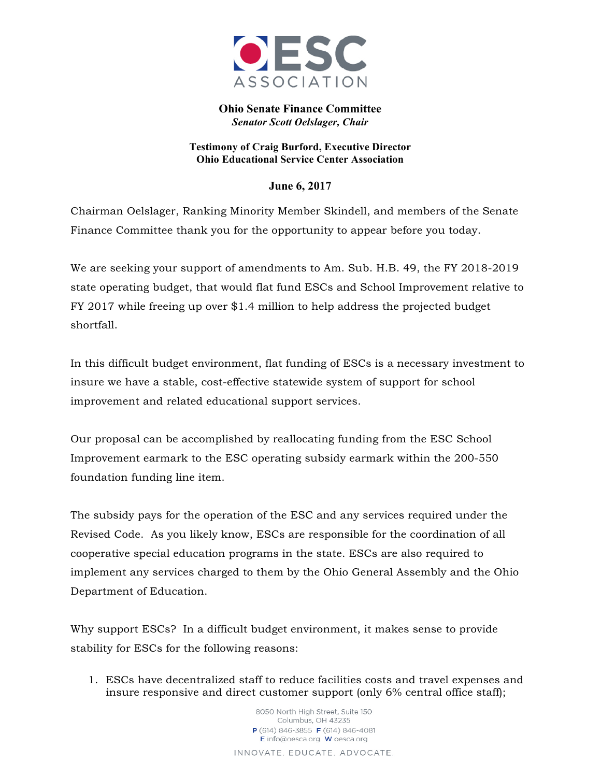

**Ohio Senate Finance Committee** *Senator Scott Oelslager, Chair*

**Testimony of Craig Burford, Executive Director Ohio Educational Service Center Association**

## **June 6, 2017**

Chairman Oelslager, Ranking Minority Member Skindell, and members of the Senate Finance Committee thank you for the opportunity to appear before you today.

We are seeking your support of amendments to Am. Sub. H.B. 49, the FY 2018-2019 state operating budget, that would flat fund ESCs and School Improvement relative to FY 2017 while freeing up over \$1.4 million to help address the projected budget shortfall.

In this difficult budget environment, flat funding of ESCs is a necessary investment to insure we have a stable, cost-effective statewide system of support for school improvement and related educational support services.

Our proposal can be accomplished by reallocating funding from the ESC School Improvement earmark to the ESC operating subsidy earmark within the 200-550 foundation funding line item.

The subsidy pays for the operation of the ESC and any services required under the Revised Code. As you likely know, ESCs are responsible for the coordination of all cooperative special education programs in the state. ESCs are also required to implement any services charged to them by the Ohio General Assembly and the Ohio Department of Education.

Why support ESCs? In a difficult budget environment, it makes sense to provide stability for ESCs for the following reasons:

1. ESCs have decentralized staff to reduce facilities costs and travel expenses and insure responsive and direct customer support (only 6% central office staff);

> 8050 North High Street, Suite 150 Columbus, OH 43235 P (614) 846-3855 F (614) 846-4081 E info@oesca.org W oesca.org INNOVATE. EDUCATE. ADVOCATE.